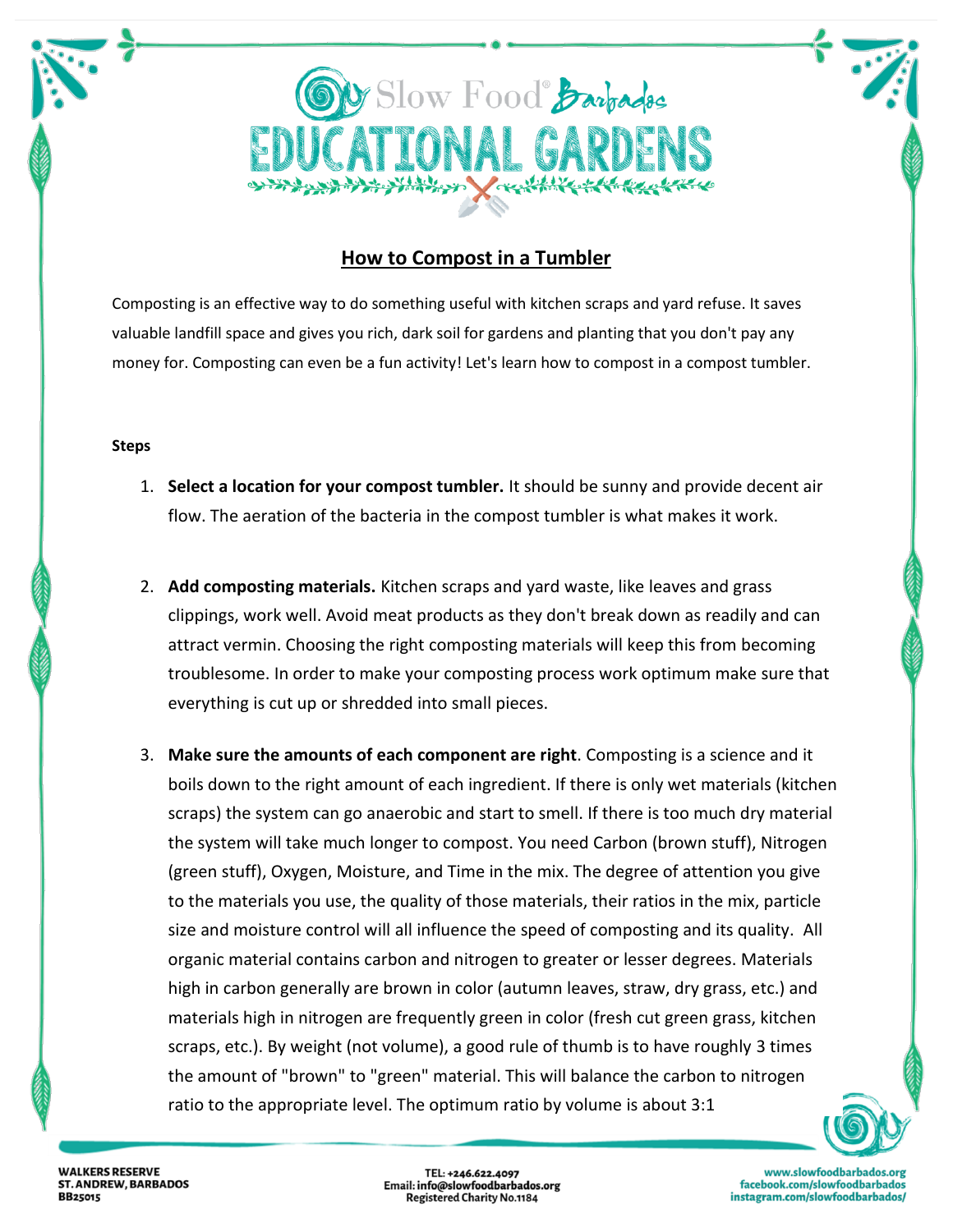

## **[How to Compost in a Tumbler](http://www.wikihow.com/Compost-in-a-Tumbler)**

Composting is an effective way to do something useful with kitchen scraps and yard refuse. It saves valuable landfill space and gives you rich, dark soil for gardens and planting that you don't pay any money for. Composting can even be a fun activity! Let's learn how to compost in a compost tumbler.

## **Steps**

- 1. **Select a location for your compost tumbler.** It should be sunny and provide decent air flow. The aeration of the bacteria in the compost tumbler is what makes it work.
- 2. **Add composting materials.** Kitchen scraps and yard waste, like leaves and grass clippings, work well. Avoid meat products as they don't break down as readily and can attract vermin. Choosing the right composting materials will keep this from becoming troublesome. In order to make your composting process work optimum make sure that everything is cut up or shredded into small pieces.
- 3. **Make sure the amounts of each component are right**. Composting is a science and it boils down to the right amount of each ingredient. If there is only wet materials (kitchen scraps) the system can go anaerobic and start to smell. If there is too much dry material the system will take much longer to compost. You need Carbon (brown stuff), Nitrogen (green stuff), Oxygen, Moisture, and Time in the mix. The degree of attention you give to the materials you use, the quality of those materials, their ratios in the mix, particle size and moisture control will all influence the speed of composting and its quality. All organic material contains carbon and nitrogen to greater or lesser degrees. Materials high in carbon generally are brown in color (autumn leaves, straw, dry grass, etc.) and materials high in nitrogen are frequently green in color (fresh cut green grass, kitchen scraps, etc.). By weight (not volume), a good rule of thumb is to have roughly 3 times the amount of "brown" to "green" material. This will balance the carbon to nitrogen ratio to the appropriate level. The optimum ratio by volume is about 3:1

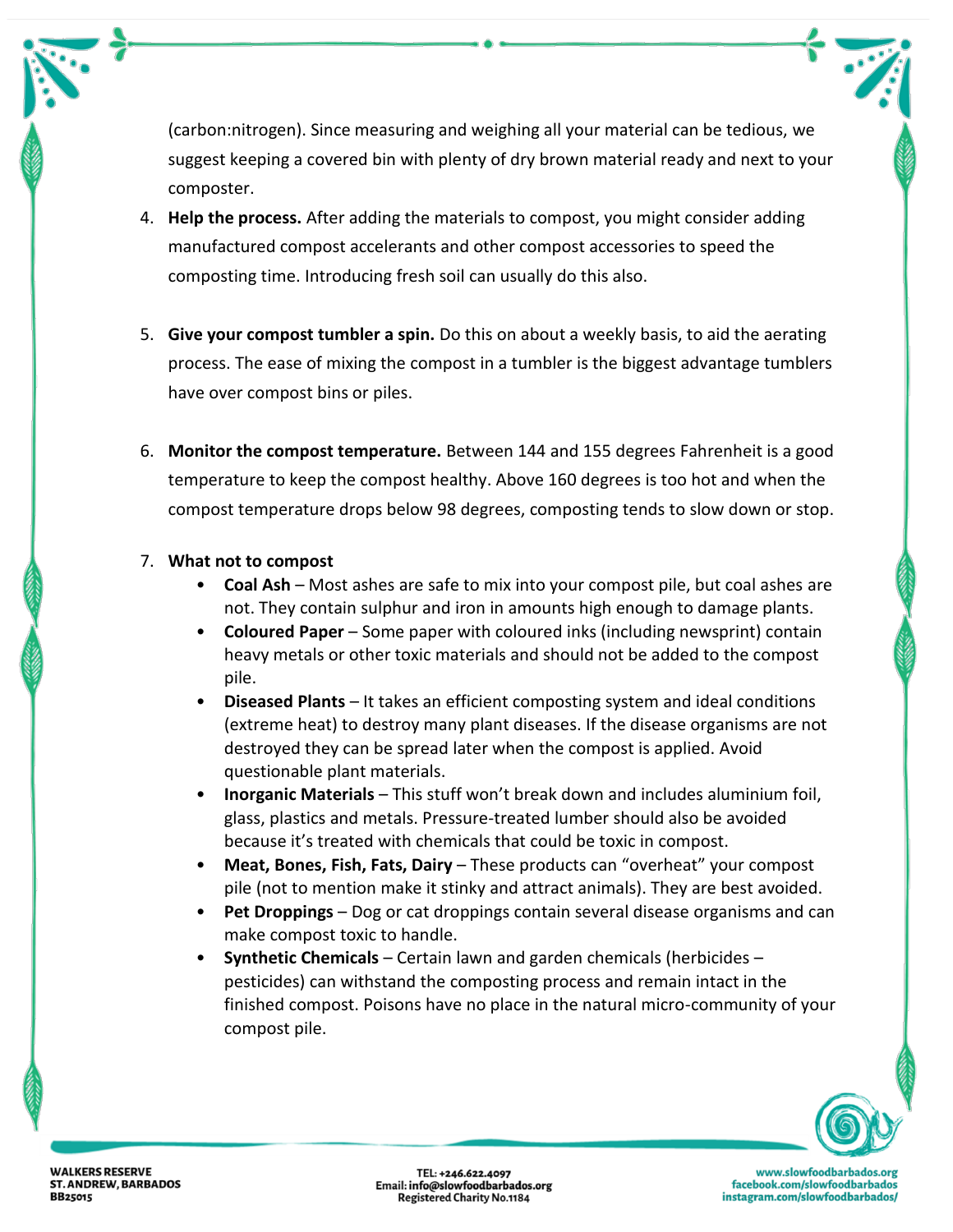(carbon:nitrogen). Since measuring and weighing all your material can be tedious, we suggest keeping a covered bin with plenty of dry brown material ready and next to your composter.

- 4. **Help the process.** After adding the materials to compost, you might consider adding manufactured compost accelerants and other compost accessories to speed the composting time. Introducing fresh soil can usually do this also.
- 5. **Give your compost tumbler a spin.** Do this on about a weekly basis, to aid the aerating process. The ease of mixing the compost in a tumbler is the biggest advantage tumblers have over compost bins or piles.
- 6. **Monitor the compost temperature.** Between 144 and 155 degrees Fahrenheit is a good temperature to keep the compost healthy. Above 160 degrees is too hot and when the compost temperature drops below 98 degrees, composting tends to slow down or stop.

## 7. **What not to compost**

- **Coal Ash** Most ashes are safe to mix into your compost pile, but coal ashes are not. They contain sulphur and iron in amounts high enough to damage plants.
- **Coloured Paper** Some paper with coloured inks (including newsprint) contain heavy metals or other toxic materials and should not be added to the compost pile.
- **Diseased Plants** It takes an efficient composting system and ideal conditions (extreme heat) to destroy many plant diseases. If the disease organisms are not destroyed they can be spread later when the compost is applied. Avoid questionable plant materials.
- **Inorganic Materials** This stuff won't break down and includes aluminium foil, glass, plastics and metals. Pressure-treated lumber should also be avoided because it's treated with chemicals that could be toxic in compost.
- **Meat, Bones, Fish, Fats, Dairy** These products can "overheat" your compost pile (not to mention make it stinky and attract animals). They are best avoided.
- **Pet Droppings** Dog or cat droppings contain several disease organisms and can make compost toxic to handle.
- **Synthetic Chemicals** Certain lawn and garden chemicals (herbicides pesticides) can withstand the composting process and remain intact in the finished compost. Poisons have no place in the natural micro-community of your compost pile.



www.slowfoodbarbados.org facebook.com/slowfoodbarbados instagram.com/slowfoodbarbados/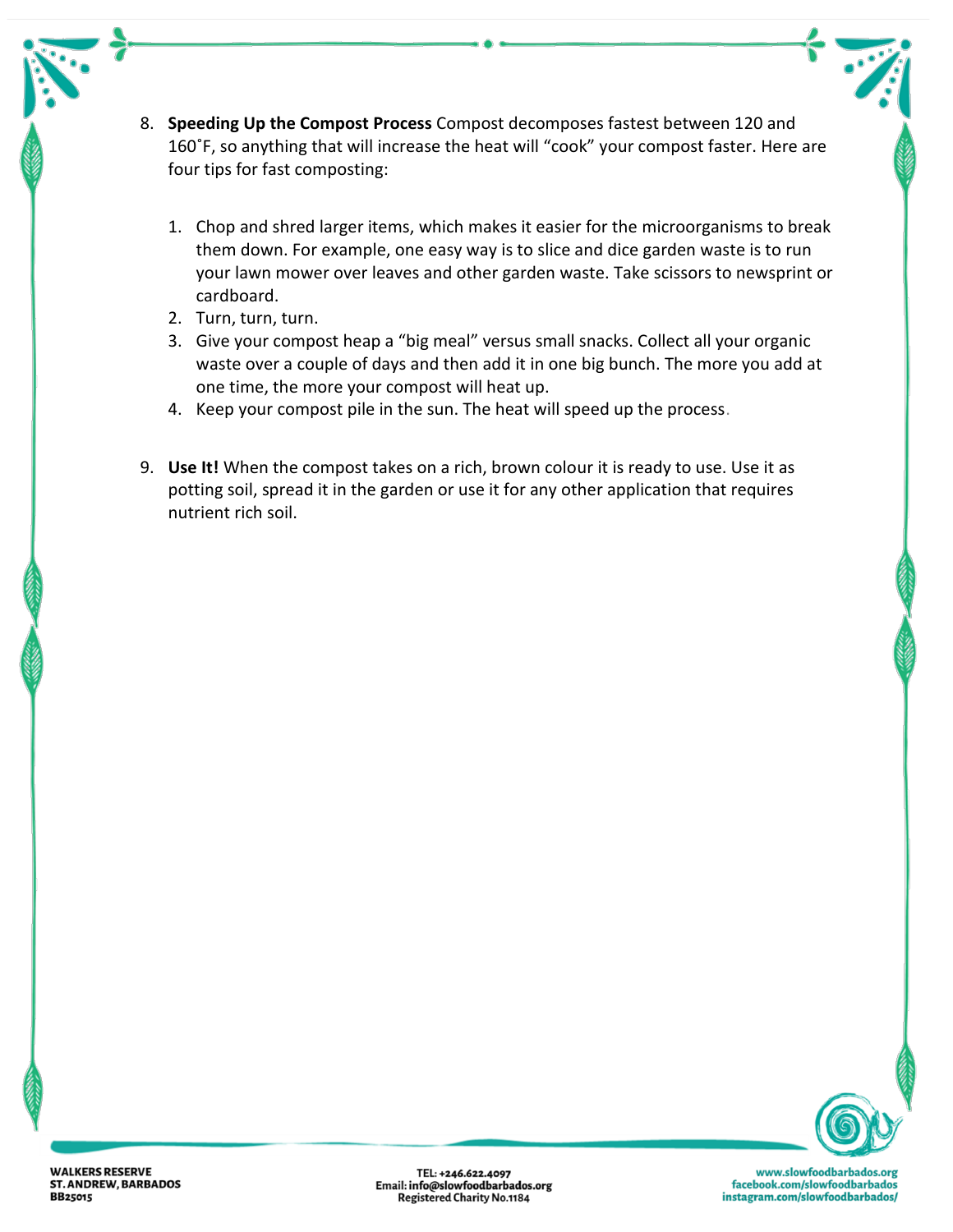- 8. **Speeding Up the Compost Process** Compost decomposes fastest between 120 and 160˚F, so anything that will increase the heat will "cook" your compost faster. Here are four tips for fast composting:
	- 1. Chop and shred larger items, which makes it easier for the microorganisms to break them down. For example, one easy way is to slice and dice garden waste is to run your lawn mower over leaves and other garden waste. Take scissors to newsprint or cardboard.
	- 2. Turn, turn, turn.
	- 3. Give your compost heap a "big meal" versus small snacks. Collect all your organic waste over a couple of days and then add it in one big bunch. The more you add at one time, the more your compost will heat up.
	- 4. Keep your compost pile in the sun. The heat will speed up the process.
- 9. **Use It!** When the compost takes on a rich, brown colour it is ready to use. Use it as potting soil, spread it in the garden or use it for any other application that requires nutrient rich soil.